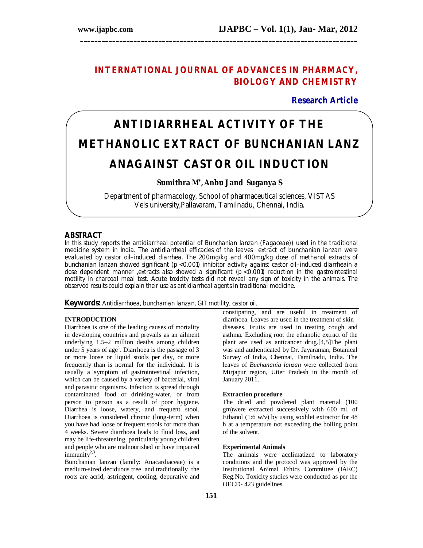# **INTERNATIONAL JOURNAL OF ADVANCES IN PHARMACY, BIOLOGY AND CHEMISTRY**

**\_\_\_\_\_\_\_\_\_\_\_\_\_\_\_\_\_\_\_\_\_\_\_\_\_\_\_\_\_\_\_\_\_\_\_\_\_\_\_\_\_\_\_\_\_\_\_\_\_\_\_\_\_\_\_\_\_\_\_\_\_\_\_\_\_\_\_\_\_\_\_\_\_\_\_\_\_\_**

**Research Article**

# **ANTIDIARRHEAL ACTIVITY OF THE METHANOLIC EXTRACT OF** *BUNCHANIAN LANZ*  **ANAGAINST CASTOR OIL INDUCTION**

**Sumithra M\* , Anbu J and Suganya S**

Department of pharmacology, School of pharmaceutical sciences, VISTAS Vels university,Pallavaram, Tamilnadu, Chennai, India.

# **ABSTRACT**

In this study reports the antidiarrheal potential of *Bunchanian lanzan (Fagaceae))* used in the traditional medicine system in India. The antidiarrheal efficacies of the leaves extract of bunchanian lanzan were evaluated by castor oil–induced diarrhea. The 200mg/kg and 400mg/kg dose of methanol extracts of *bunchanian lanzan* showed significant (p < 0.001) inhibitor activity against castor oil–induced diarrheain a dose dependent manner ,extracts also showed a significant (p < 0.001) reduction in the gastrointestinal motility in charcoal meal test. Acute toxicity tests did not reveal any sign of toxicity in the animals. The observed results could explain their use as antidiarrheal agents in traditional medicine.

**Keywords:** Antidiarrhoea, bunchanian lanzan, GIT motility, castor oil.

# **INTRODUCTION**

Diarrhoea is one of the leading causes of mortality in developing countries and prevails as an ailment underlying 1.5–2 million deaths among children under 5 years of age<sup>1</sup>. Diarrhoea is the passage of 3 or more loose or liquid stools per day, or more frequently than is normal for the individual. It is usually a symptom of gastrointestinal infection, which can be caused by a variety of bacterial, viral and parasitic organisms. Infection is spread through contaminated food or drinking-water, or from person to person as a result of poor hygiene. Diarrhea is loose, watery, and frequent stool. Diarrhoea is considered chronic (long-term) when you have had loose or frequent stools for more than 4 weeks. Severe diarrhoea leads to fluid loss, and may be life-threatening, particularly young children and people who are malnourished or have impaired  $\text{immunity}^{2,3}$ .

Bunchanian lanzan (family: Anacardiaceae) is a medium-sized deciduous tree and traditionally the roots are acrid, astringent, cooling, depurative and constipating, and are useful in treatment of diarrhoea. Leaves are used in the treatment of skin diseases. Fruits are used in treating cough and asthma. Excluding root the ethanolic extract of the plant are used as anticancer drug.[4,5]The plant was and authenticated by Dr. Jayaraman, Botanical Survey of India, Chennai, Tamilnadu, India. The leaves of *Buchanania lanzan* were collected from Mirjapur region, Utter Pradesh in the month of January 2011.

#### **Extraction procedure**

The dried and powdered plant material (100 gm)were extracted successively with 600 ml, of Ethanol (1:6 w/v) by using soxhlet extractor for 48 h at a temperature not exceeding the boiling point of the solvent.

#### **Experimental Animals**

The animals were acclimatized to laboratory conditions and the protocol was approved by the Institutional Animal Ethics Committee (IAEC) Reg.No. Toxicity studies were conducted as per the OECD- 423 guidelines.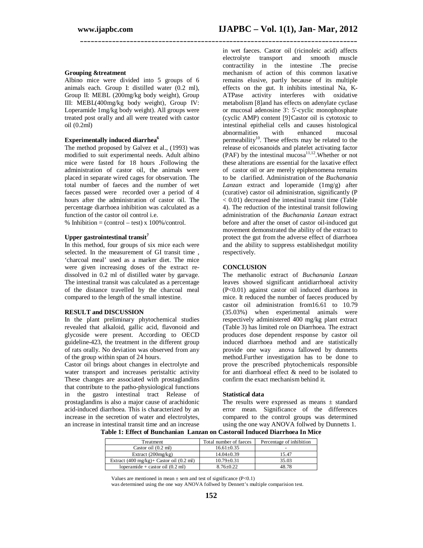#### **Grouping &treatment**

Albino mice were divided into 5 groups of 6 animals each. Group I: distilled water (0.2 ml), Group II: MEBL (200mg/kg body weight), Group III: MEBL(400mg/kg body weight), Group IV: Loperamide 1mg/kg body weight). All groups were treated post orally and all were treated with castor oil  $(0.2\text{ml})$ 

#### **Experimentally induced diarrhea<sup>6</sup>**

The method proposed by Galvez et al., (1993) was modified to suit experimental needs. Adult albino mice were fasted for 18 hours .Following the administration of castor oil, the animals were placed in separate wired cages for observation. The total number of faeces and the number of wet faeces passed were recorded over a period of 4 hours after the administration of castor oil. The percentage diarrhoea inhibition was calculated as a function of the castor oil control i.e.

% Inhibition =  $(control - test) \times 100\% / control$ .

#### **Upper gastrointestinal transit<sup>7</sup>**

In this method, four groups of six mice each were selected. In the measurement of GI transit time , 'charcoal meal' used as a marker diet. The mice were given increasing doses of the extract redissolved in 0.2 ml of distilled water by garvage. The intestinal transit was calculated as a percentage of the distance travelled by the charcoal meal compared to the length of the small intestine.

#### **RESULT and DISCUSSION**

In the plant preliminary phytochemical studies revealed that alkaloid, gallic acid, flavonoid and glycoside were present. According to OECD guideline-423, the treatment in the different group of rats orally. No deviation was observed from any of the group within span of 24 hours.

Castor oil brings about changes in electrolyte and water transport and increases peristaltic activity These changes are associated with prostaglandins that contribute to the patho-physiological functions in the gastro intestinal tract Release of prostaglandins is also a major cause of arachidonic acid-induced diarrhoea. This is characterized by an increase in the secretion of water and electrolytes, an increase in intestinal transit time and an increase

in wet faeces. Castor oil (ricinoleic acid) affects electrolyte transport and smooth muscle contractility in the intestine .The precise mechanism of action of this common laxative remains elusive, partly because of its multiple effects on the gut. It inhibits intestinal Na, K-ATPase activity interferes with oxidative metabolism [8]and has effects on adenylate cyclase or mucosal adenosine 3': 5'-cyclic monophosphate (cyclic AMP) content [9].Castor oil is cytotoxic to intestinal epithelial cells and causes histological abnormalities permeability<sup>10</sup>. These effects may be related to the release of eicosanoids and platelet activating factor (PAF) by the intestinal mucosa<sup>11,12</sup>. Whether or not these alterations are essential for the laxative effect of castor oil or are merely epiphenomena remains to be clarified. Administration of the *Buchanania Lanzan* extract and loperamide (1mg/g) after (curative) castor oil administration, significantly (P < 0.01) decreased the intestinal transit time (Table 4). The reduction of the intestinal transit following administration of the *Buchanania Lanzan* extract before and after the onset of castor oil-induced gut movement demonstrated the ability of the extract to protect the gut from the adverse effect of diarrhoea and the ability to suppress establishedgut motility respectively.

## **CONCLUSION**

**\_\_\_\_\_\_\_\_\_\_\_\_\_\_\_\_\_\_\_\_\_\_\_\_\_\_\_\_\_\_\_\_\_\_\_\_\_\_\_\_\_\_\_\_\_\_\_\_\_\_\_\_\_\_\_\_\_\_\_\_\_\_\_\_\_\_\_\_\_\_\_\_\_\_\_\_\_\_**

The methanolic extract of *Buchanania Lanzan* leaves showed significant antidiarrhoeal activity (P<0.01) against castor oil induced diarrhoea in mice. It reduced the number of faeces produced by castor oil administration from16.61 to 10.79 (35.03%) when experimental animals were respectively administered 400 mg/kg plant extract (Table 3) has limited role on Diarrhoea. The extract produces dose dependent response by castor oil induced diarrhoea method and are statistically provide one way anova fallowed by dunnetts method.Further investigation has to be done to prove the prescribed phytochemicals responsible for anti diarrhoeal effect & need to be isolated to confirm the exact mechanism behind it.

#### **Statistical data**

The results were expressed as means  $\pm$  standard error mean. Significance of the differences compared to the control groups was determined using the one way ANOVA follwed by Dunnetts 1.

**Table 1: Effect of Bunchanian Lanzan on Castoroil Induced Diarrhoea In Mice**

| Treatment                                                     | Total number of faeces | Percentage of inhibition |
|---------------------------------------------------------------|------------------------|--------------------------|
| Castor oil $(0.2 \text{ ml})$                                 | $16.61 \pm 0.35$       |                          |
| Extract $(200mg/kg)$                                          | $14.04 \pm 0.39$       | 15.47                    |
| Extract $(400 \text{ mg/kg})$ + Castor oil $(0.2 \text{ ml})$ | $10.79 \pm 0.31$       | 35.03                    |
| loperamide + castor oil $(0.2 \text{ ml})$                    | $8.76 \pm 0.22$        | 48.78                    |

Values are mentioned in mean  $\pm$  sem and test of significance (P<0.1)

was determined using the one way ANOVA follwed by Dennett's multiple comparision test.